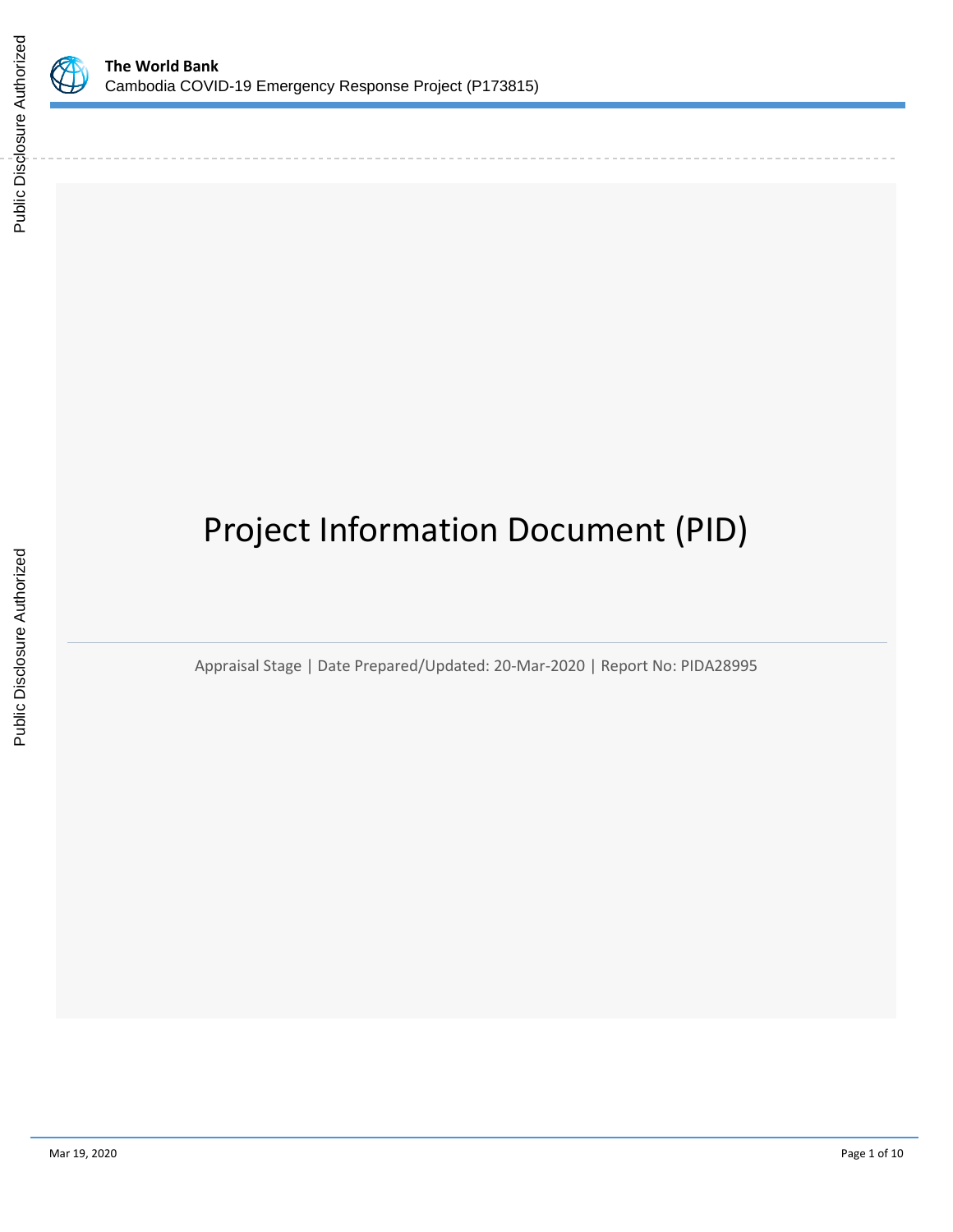

# Project Information Document (PID)

Appraisal Stage | Date Prepared/Updated: 20-Mar-2020 | Report No: PIDA28995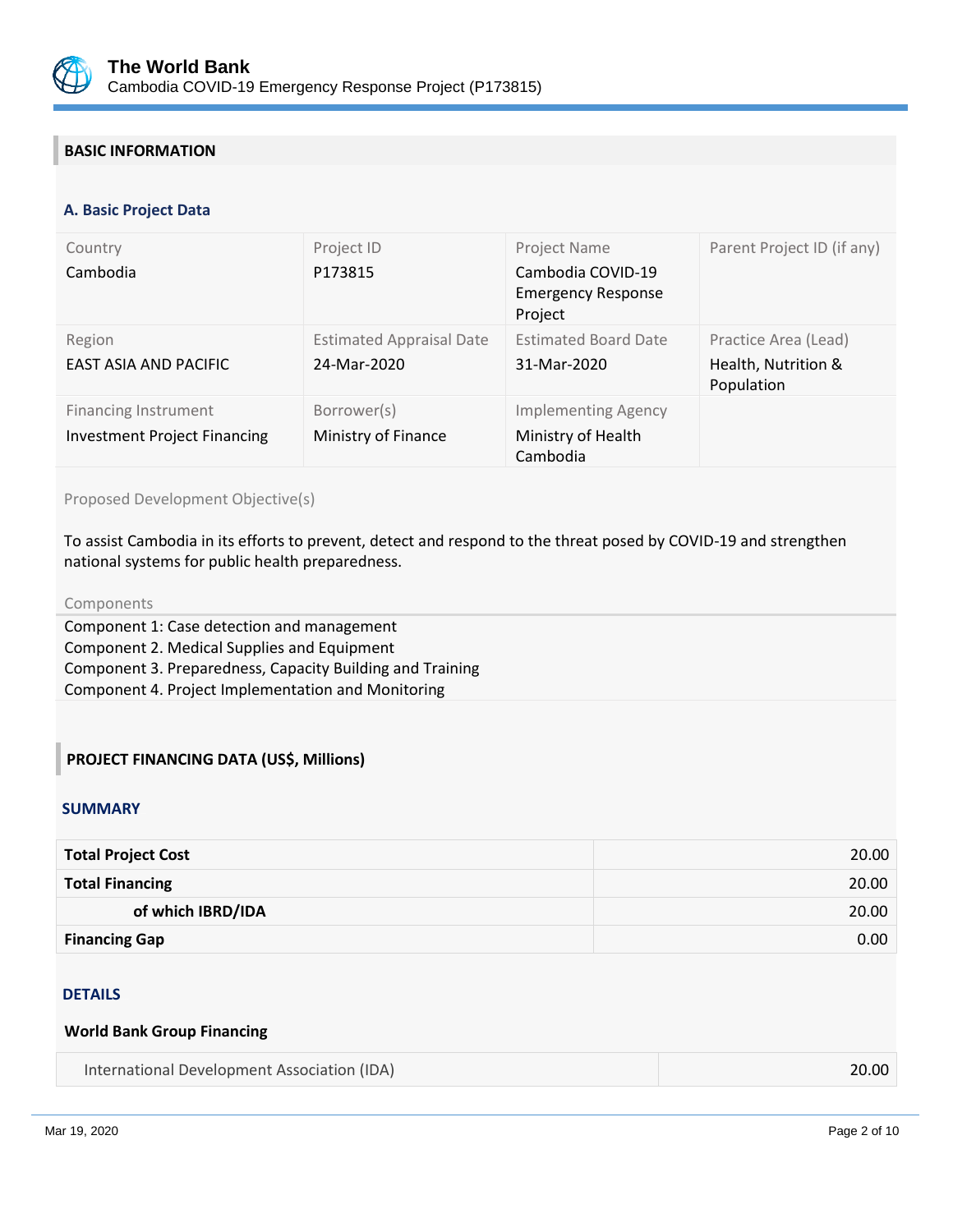

# **BASIC INFORMATION**

#### **OPS\_TABLE\_BASIC\_DATA A. Basic Project Data**

| Country<br>Cambodia                                                | Project ID<br>P173815                          | Project Name<br>Cambodia COVID-19<br><b>Emergency Response</b><br>Project | Parent Project ID (if any)                                |
|--------------------------------------------------------------------|------------------------------------------------|---------------------------------------------------------------------------|-----------------------------------------------------------|
| Region<br>EAST ASIA AND PACIFIC                                    | <b>Estimated Appraisal Date</b><br>24-Mar-2020 | <b>Estimated Board Date</b><br>31-Mar-2020                                | Practice Area (Lead)<br>Health, Nutrition &<br>Population |
| <b>Financing Instrument</b><br><b>Investment Project Financing</b> | Borrower(s)<br>Ministry of Finance             | <b>Implementing Agency</b><br>Ministry of Health<br>Cambodia              |                                                           |

Proposed Development Objective(s)

To assist Cambodia in its efforts to prevent, detect and respond to the threat posed by COVID-19 and strengthen national systems for public health preparedness.

#### Components

Component 1: Case detection and management Component 2. Medical Supplies and Equipment Component 3. Preparedness, Capacity Building and Training Component 4. Project Implementation and Monitoring

## **PROJECT FINANCING DATA (US\$, Millions)**

#### **SUMMARY**

| <b>Total Project Cost</b> | 20.00 |
|---------------------------|-------|
| <b>Total Financing</b>    | 20.00 |
| of which IBRD/IDA         | 20.00 |
| <b>Financing Gap</b>      | 0.00  |

#### **DETAILS**

#### **World Bank Group Financing**

| International Development Association (IDA) | 20.00 |
|---------------------------------------------|-------|
|---------------------------------------------|-------|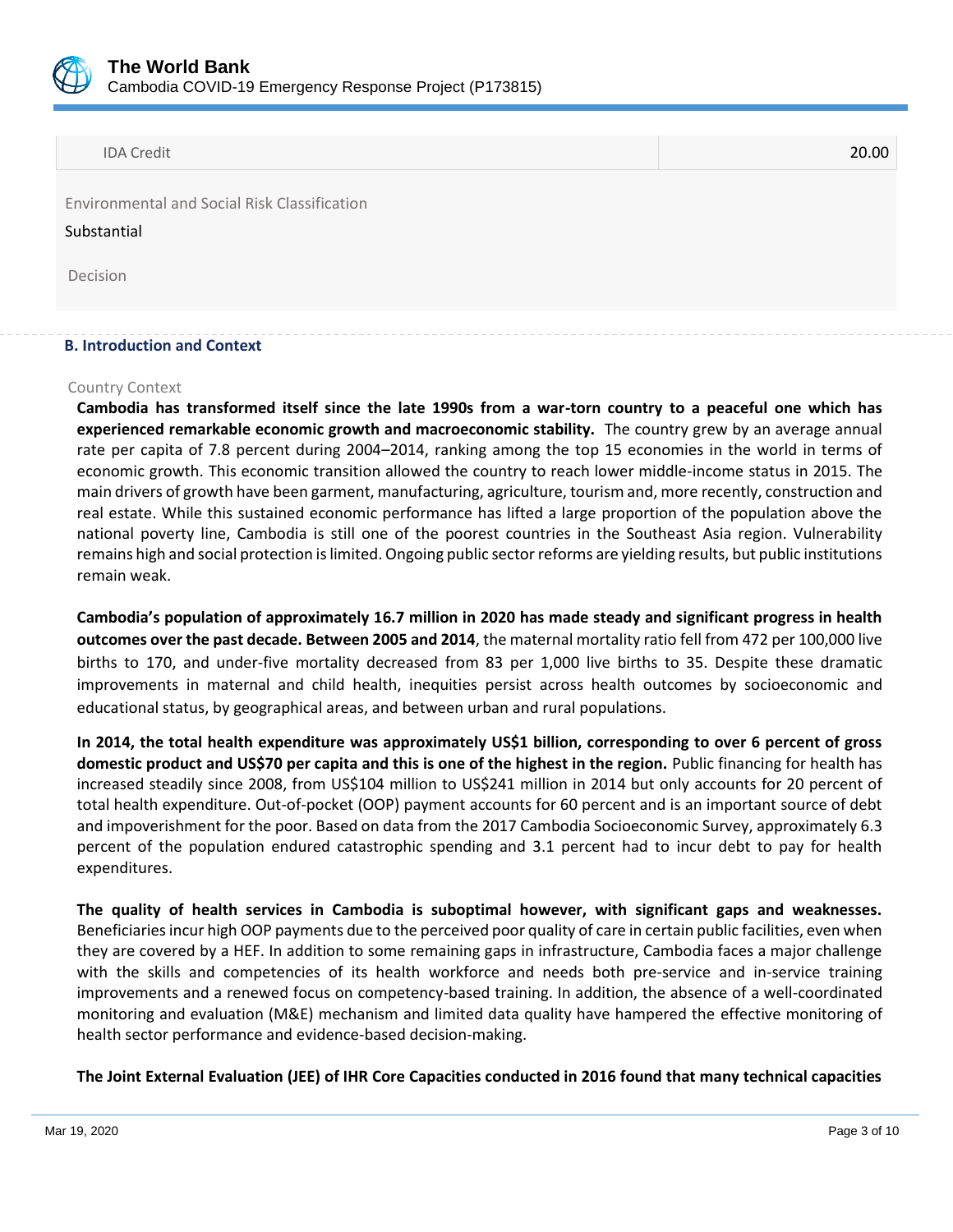

IDA Credit 20.00

Environmental and Social Risk Classification

#### Substantial

Decision

## **B. Introduction and Context**

#### Country Context

**Cambodia has transformed itself since the late 1990s from a war-torn country to a peaceful one which has experienced remarkable economic growth and macroeconomic stability.** The country grew by an average annual rate per capita of 7.8 percent during 2004–2014, ranking among the top 15 economies in the world in terms of economic growth. This economic transition allowed the country to reach lower middle-income status in 2015. The main drivers of growth have been garment, manufacturing, agriculture, tourism and, more recently, construction and real estate. While this sustained economic performance has lifted a large proportion of the population above the national poverty line, Cambodia is still one of the poorest countries in the Southeast Asia region. Vulnerability remains high and social protection is limited. Ongoing public sector reforms are yielding results, but public institutions remain weak.

**Cambodia's population of approximately 16.7 million in 2020 has made steady and significant progress in health outcomes over the past decade. Between 2005 and 2014**, the maternal mortality ratio fell from 472 per 100,000 live births to 170, and under-five mortality decreased from 83 per 1,000 live births to 35. Despite these dramatic improvements in maternal and child health, inequities persist across health outcomes by socioeconomic and educational status, by geographical areas, and between urban and rural populations.

**In 2014, the total health expenditure was approximately US\$1 billion, corresponding to over 6 percent of gross domestic product and US\$70 per capita and this is one of the highest in the region.** Public financing for health has increased steadily since 2008, from US\$104 million to US\$241 million in 2014 but only accounts for 20 percent of total health expenditure. Out-of-pocket (OOP) payment accounts for 60 percent and is an important source of debt and impoverishment for the poor. Based on data from the 2017 Cambodia Socioeconomic Survey, approximately 6.3 percent of the population endured catastrophic spending and 3.1 percent had to incur debt to pay for health expenditures.

**The quality of health services in Cambodia is suboptimal however, with significant gaps and weaknesses.**  Beneficiaries incur high OOP payments due to the perceived poor quality of care in certain public facilities, even when they are covered by a HEF. In addition to some remaining gaps in infrastructure, Cambodia faces a major challenge with the skills and competencies of its health workforce and needs both pre-service and in-service training improvements and a renewed focus on competency-based training. In addition, the absence of a well-coordinated monitoring and evaluation (M&E) mechanism and limited data quality have hampered the effective monitoring of health sector performance and evidence-based decision-making.

**The Joint External Evaluation (JEE) of IHR Core Capacities conducted in 2016 found that many technical capacities**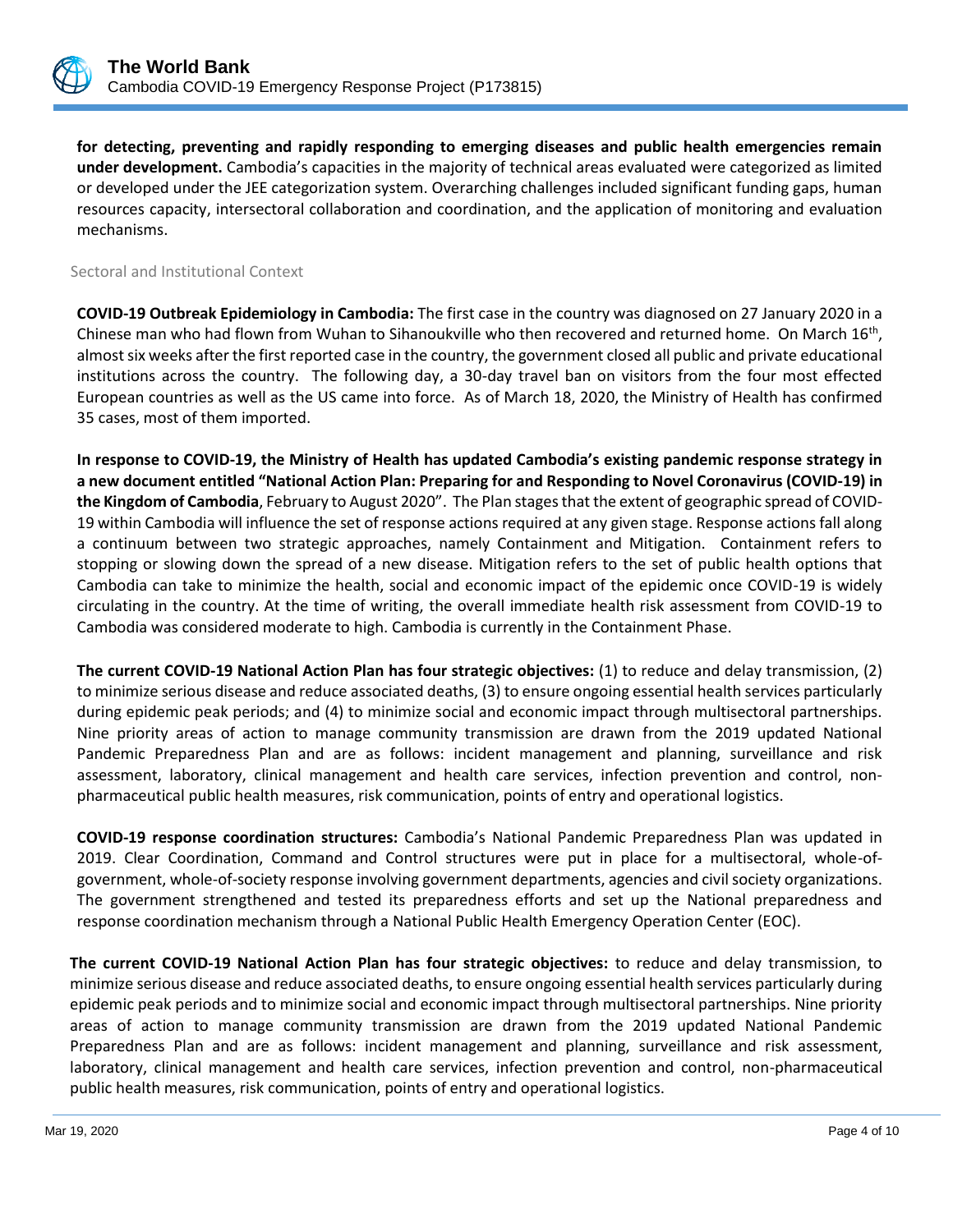

**for detecting, preventing and rapidly responding to emerging diseases and public health emergencies remain under development.** Cambodia's capacities in the majority of technical areas evaluated were categorized as limited or developed under the JEE categorization system. Overarching challenges included significant funding gaps, human resources capacity, intersectoral collaboration and coordination, and the application of monitoring and evaluation mechanisms.

Sectoral and Institutional Context

**COVID-19 Outbreak Epidemiology in Cambodia:** The first case in the country was diagnosed on 27 January 2020 in a Chinese man who had flown from Wuhan to Sihanoukville who then recovered and returned home. On March 16<sup>th</sup>, almost six weeks after the first reported case in the country, the government closed all public and private educational institutions across the country. The following day, a 30-day travel ban on visitors from the four most effected European countries as well as the US came into force. As of March 18, 2020, the Ministry of Health has confirmed 35 cases, most of them imported.

**In response to COVID-19, the Ministry of Health has updated Cambodia's existing pandemic response strategy in a new document entitled "National Action Plan: Preparing for and Responding to Novel Coronavirus (COVID-19) in the Kingdom of Cambodia**, February to August 2020". The Plan stages that the extent of geographic spread of COVID-19 within Cambodia will influence the set of response actions required at any given stage. Response actions fall along a continuum between two strategic approaches, namely Containment and Mitigation. Containment refers to stopping or slowing down the spread of a new disease. Mitigation refers to the set of public health options that Cambodia can take to minimize the health, social and economic impact of the epidemic once COVID-19 is widely circulating in the country. At the time of writing, the overall immediate health risk assessment from COVID-19 to Cambodia was considered moderate to high. Cambodia is currently in the Containment Phase.

**The current COVID-19 National Action Plan has four strategic objectives:** (1) to reduce and delay transmission, (2) to minimize serious disease and reduce associated deaths, (3) to ensure ongoing essential health services particularly during epidemic peak periods; and (4) to minimize social and economic impact through multisectoral partnerships. Nine priority areas of action to manage community transmission are drawn from the 2019 updated National Pandemic Preparedness Plan and are as follows: incident management and planning, surveillance and risk assessment, laboratory, clinical management and health care services, infection prevention and control, nonpharmaceutical public health measures, risk communication, points of entry and operational logistics.

**COVID-19 response coordination structures:** Cambodia's National Pandemic Preparedness Plan was updated in 2019. Clear Coordination, Command and Control structures were put in place for a multisectoral, whole-ofgovernment, whole-of-society response involving government departments, agencies and civil society organizations. The government strengthened and tested its preparedness efforts and set up the National preparedness and response coordination mechanism through a National Public Health Emergency Operation Center (EOC).

**The current COVID-19 National Action Plan has four strategic objectives:** to reduce and delay transmission, to minimize serious disease and reduce associated deaths, to ensure ongoing essential health services particularly during epidemic peak periods and to minimize social and economic impact through multisectoral partnerships. Nine priority areas of action to manage community transmission are drawn from the 2019 updated National Pandemic Preparedness Plan and are as follows: incident management and planning, surveillance and risk assessment, laboratory, clinical management and health care services, infection prevention and control, non-pharmaceutical public health measures, risk communication, points of entry and operational logistics.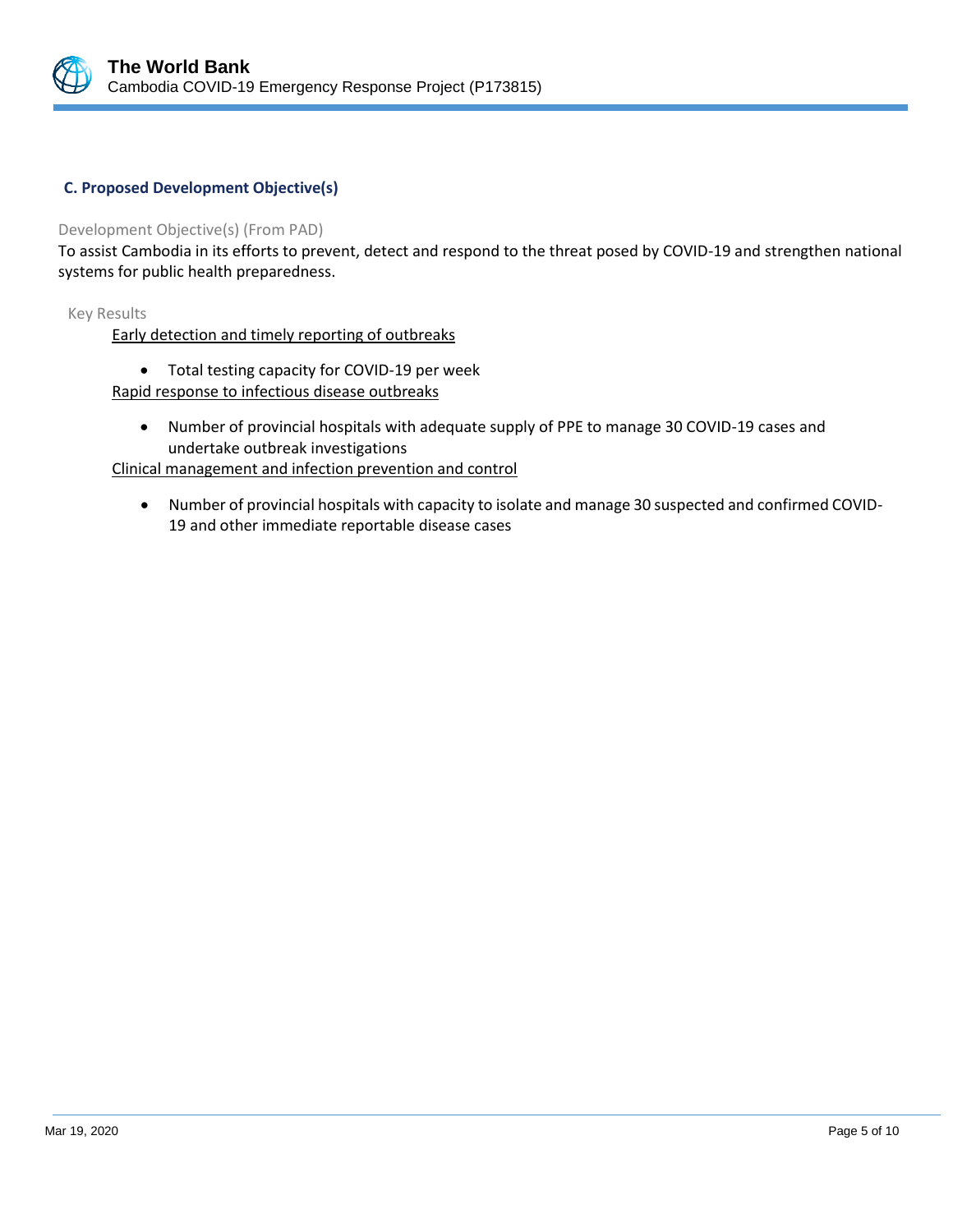

# **C. Proposed Development Objective(s)**

## Development Objective(s) (From PAD)

To assist Cambodia in its efforts to prevent, detect and respond to the threat posed by COVID-19 and strengthen national systems for public health preparedness.

Key Results

Early detection and timely reporting of outbreaks

- Total testing capacity for COVID-19 per week
- Rapid response to infectious disease outbreaks
	- Number of provincial hospitals with adequate supply of PPE to manage 30 COVID-19 cases and undertake outbreak investigations

Clinical management and infection prevention and control

• Number of provincial hospitals with capacity to isolate and manage 30 suspected and confirmed COVID-19 and other immediate reportable disease cases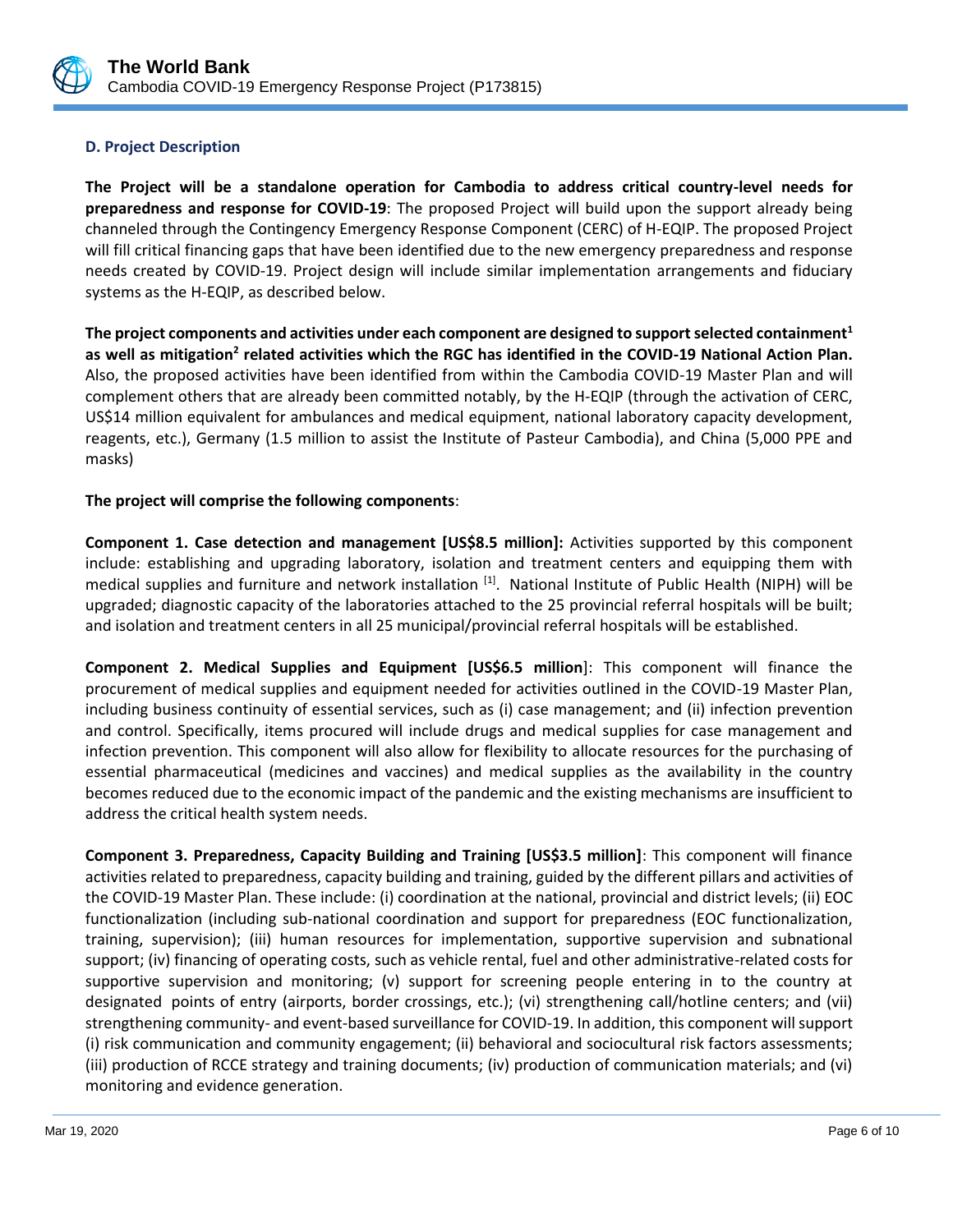

# **D. Project Description**

**The Project will be a standalone operation for Cambodia to address critical country-level needs for preparedness and response for COVID-19**: The proposed Project will build upon the support already being channeled through the Contingency Emergency Response Component (CERC) of H-EQIP. The proposed Project will fill critical financing gaps that have been identified due to the new emergency preparedness and response needs created by COVID-19. Project design will include similar implementation arrangements and fiduciary systems as the H-EQIP, as described below.

**The project components and activities under each component are designed to support selected containment<sup>1</sup>** as well as mitigation<sup>2</sup> related activities which the RGC has identified in the COVID-19 National Action Plan. Also, the proposed activities have been identified from within the Cambodia COVID-19 Master Plan and will complement others that are already been committed notably, by the H-EQIP (through the activation of CERC, US\$14 million equivalent for ambulances and medical equipment, national laboratory capacity development, reagents, etc.), Germany (1.5 million to assist the Institute of Pasteur Cambodia), and China (5,000 PPE and masks)

# **The project will comprise the following components**:

**Component 1. Case detection and management [US\$8.5 million]:** Activities supported by this component include: establishing and upgrading laboratory, isolation and treatment centers and equipping them with medical supplies and furniture and network installation <sup>[1]</sup>. National Institute of Public Health (NIPH) will be upgraded; diagnostic capacity of the laboratories attached to the 25 provincial referral hospitals will be built; and isolation and treatment centers in all 25 municipal/provincial referral hospitals will be established.

**Component 2. Medical Supplies and Equipment [US\$6.5 million**]: This component will finance the procurement of medical supplies and equipment needed for activities outlined in the COVID-19 Master Plan, including business continuity of essential services, such as (i) case management; and (ii) infection prevention and control. Specifically, items procured will include drugs and medical supplies for case management and infection prevention. This component will also allow for flexibility to allocate resources for the purchasing of essential pharmaceutical (medicines and vaccines) and medical supplies as the availability in the country becomes reduced due to the economic impact of the pandemic and the existing mechanisms are insufficient to address the critical health system needs.

**Component 3. Preparedness, Capacity Building and Training [US\$3.5 million]**: This component will finance activities related to preparedness, capacity building and training, guided by the different pillars and activities of the COVID-19 Master Plan. These include: (i) coordination at the national, provincial and district levels; (ii) EOC functionalization (including sub-national coordination and support for preparedness (EOC functionalization, training, supervision); (iii) human resources for implementation, supportive supervision and subnational support; (iv) financing of operating costs, such as vehicle rental, fuel and other administrative-related costs for supportive supervision and monitoring; (v) support for screening people entering in to the country at designated points of entry (airports, border crossings, etc.); (vi) strengthening call/hotline centers; and (vii) strengthening community- and event-based surveillance for COVID-19. In addition, this component will support (i) risk communication and community engagement; (ii) behavioral and sociocultural risk factors assessments; (iii) production of RCCE strategy and training documents; (iv) production of communication materials; and (vi) monitoring and evidence generation.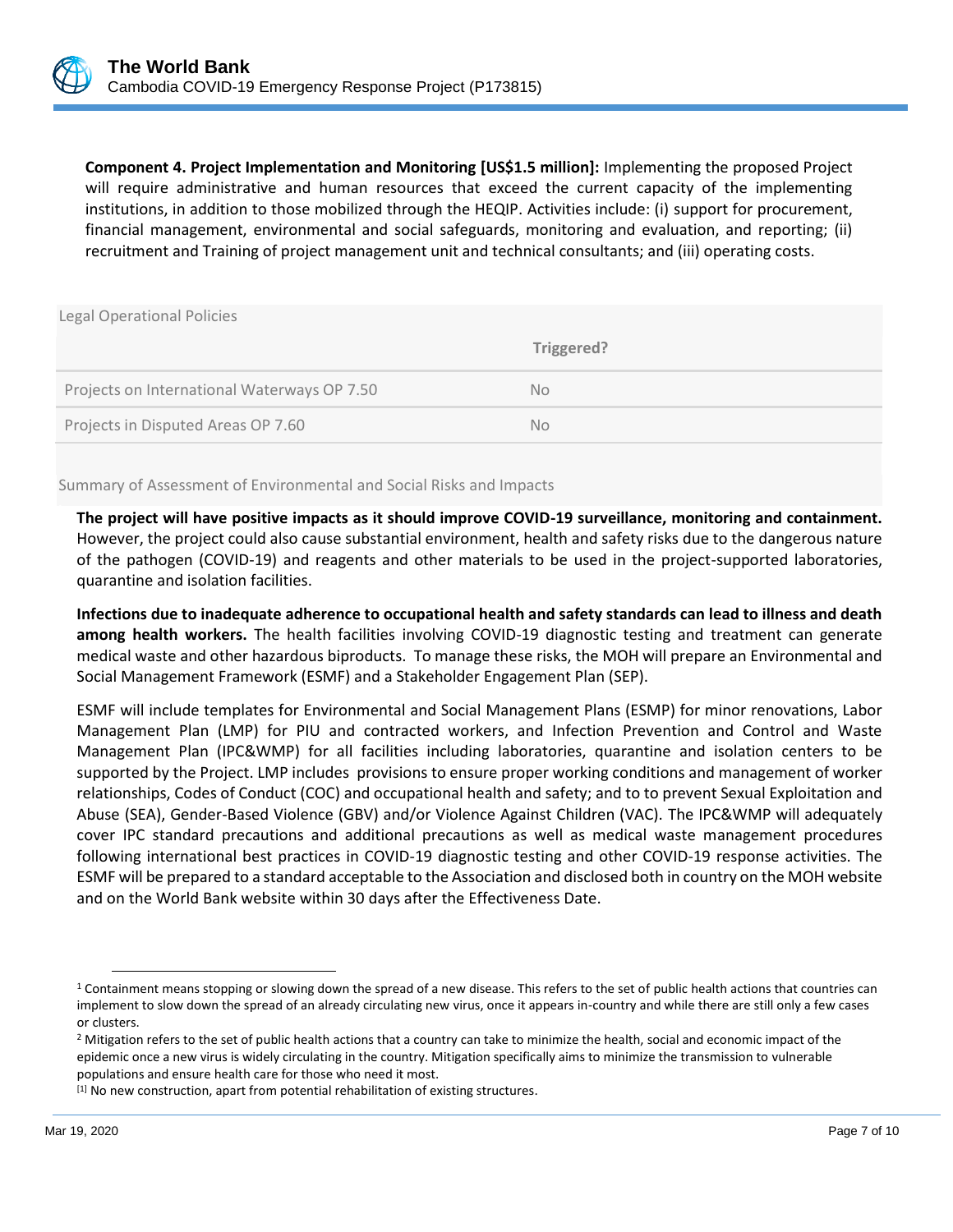

**Component 4. Project Implementation and Monitoring [US\$1.5 million]:** Implementing the proposed Project will require administrative and human resources that exceed the current capacity of the implementing institutions, in addition to those mobilized through the HEQIP. Activities include: (i) support for procurement, financial management, environmental and social safeguards, monitoring and evaluation, and reporting; (ii) recruitment and Training of project management unit and technical consultants; and (iii) operating costs.

| <b>Legal Operational Policies</b>           |            |
|---------------------------------------------|------------|
|                                             | Triggered? |
| Projects on International Waterways OP 7.50 | No.        |
| Projects in Disputed Areas OP 7.60          | No.        |

Summary of Assessment of Environmental and Social Risks and Impacts

**The project will have positive impacts as it should improve COVID-19 surveillance, monitoring and containment.** However, the project could also cause substantial environment, health and safety risks due to the dangerous nature of the pathogen (COVID-19) and reagents and other materials to be used in the project-supported laboratories, quarantine and isolation facilities.

**Infections due to inadequate adherence to occupational health and safety standards can lead to illness and death among health workers.** The health facilities involving COVID-19 diagnostic testing and treatment can generate medical waste and other hazardous biproducts. To manage these risks, the MOH will prepare an Environmental and Social Management Framework (ESMF) and a Stakeholder Engagement Plan (SEP).

ESMF will include templates for Environmental and Social Management Plans (ESMP) for minor renovations, Labor Management Plan (LMP) for PIU and contracted workers, and Infection Prevention and Control and Waste Management Plan (IPC&WMP) for all facilities including laboratories, quarantine and isolation centers to be supported by the Project. LMP includes provisions to ensure proper working conditions and management of worker relationships, Codes of Conduct (COC) and occupational health and safety; and to to prevent Sexual Exploitation and Abuse (SEA), Gender-Based Violence (GBV) and/or Violence Against Children (VAC). The IPC&WMP will adequately cover IPC standard precautions and additional precautions as well as medical waste management procedures following international best practices in COVID-19 diagnostic testing and other COVID-19 response activities. The ESMF will be prepared to a standard acceptable to the Association and disclosed both in country on the MOH website and on the World Bank website within 30 days after the Effectiveness Date.

<sup>&</sup>lt;sup>1</sup> Containment means stopping or slowing down the spread of a new disease. This refers to the set of public health actions that countries can implement to slow down the spread of an already circulating new virus, once it appears in-country and while there are still only a few cases or clusters.

<sup>&</sup>lt;sup>2</sup> Mitigation refers to the set of public health actions that a country can take to minimize the health, social and economic impact of the epidemic once a new virus is widely circulating in the country. Mitigation specifically aims to minimize the transmission to vulnerable populations and ensure health care for those who need it most.

 $[1]$  No new construction, apart from potential rehabilitation of existing structures.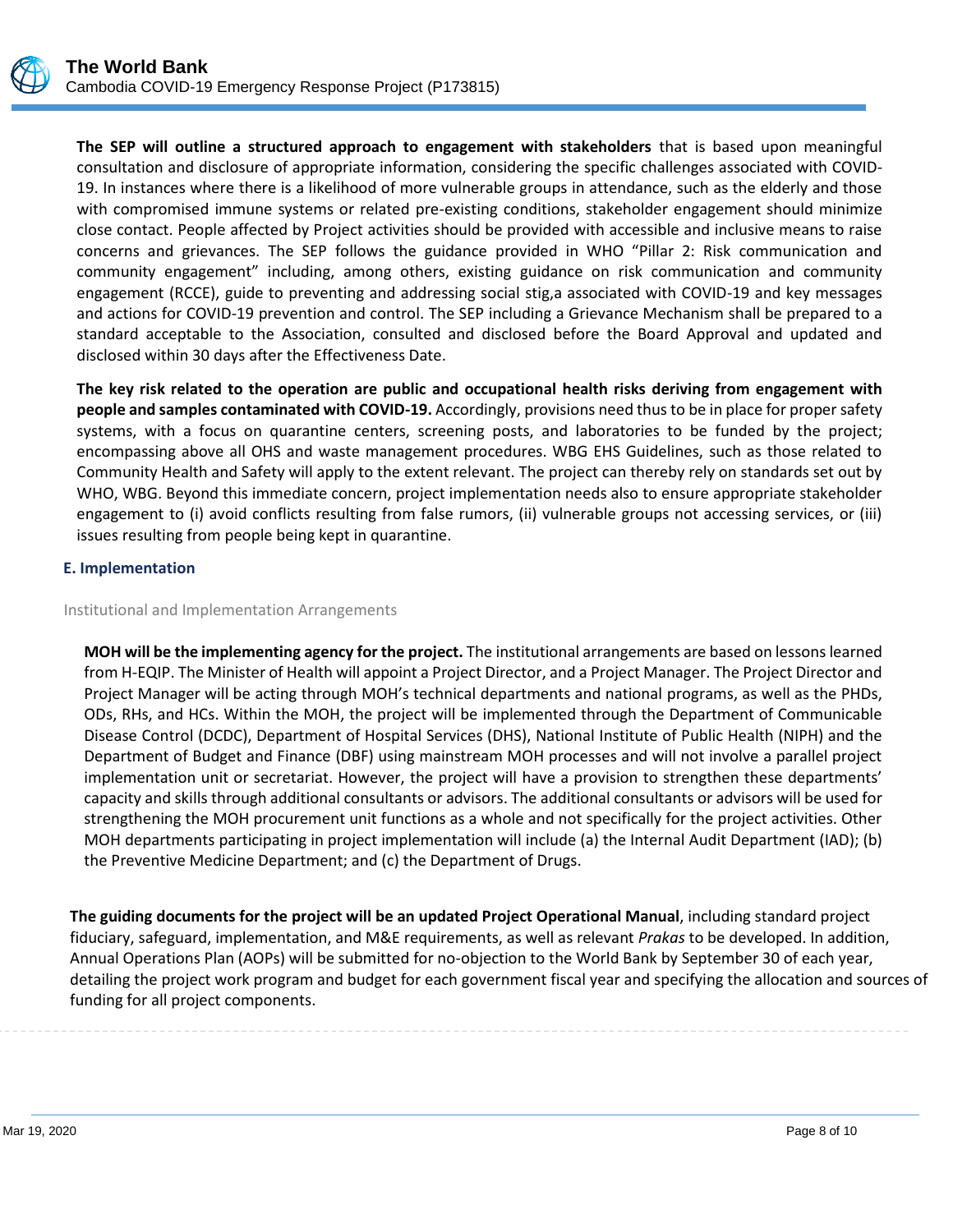

**The SEP will outline a structured approach to engagement with stakeholders** that is based upon meaningful consultation and disclosure of appropriate information, considering the specific challenges associated with COVID-19. In instances where there is a likelihood of more vulnerable groups in attendance, such as the elderly and those with compromised immune systems or related pre-existing conditions, stakeholder engagement should minimize close contact. People affected by Project activities should be provided with accessible and inclusive means to raise concerns and grievances. The SEP follows the guidance provided in WHO "Pillar 2: Risk communication and community engagement" including, among others, existing guidance on risk communication and community engagement (RCCE), guide to preventing and addressing social stig,a associated with COVID-19 and key messages and actions for COVID-19 prevention and control. The SEP including a Grievance Mechanism shall be prepared to a standard acceptable to the Association, consulted and disclosed before the Board Approval and updated and disclosed within 30 days after the Effectiveness Date.

**The key risk related to the operation are public and occupational health risks deriving from engagement with people and samples contaminated with COVID-19.** Accordingly, provisions need thus to be in place for proper safety systems, with a focus on quarantine centers, screening posts, and laboratories to be funded by the project; encompassing above all OHS and waste management procedures. WBG EHS Guidelines, such as those related to Community Health and Safety will apply to the extent relevant. The project can thereby rely on standards set out by WHO, WBG. Beyond this immediate concern, project implementation needs also to ensure appropriate stakeholder engagement to (i) avoid conflicts resulting from false rumors, (ii) vulnerable groups not accessing services, or (iii) issues resulting from people being kept in quarantine.

# **E. Implementation**

## Institutional and Implementation Arrangements

**MOH will be the implementing agency for the project.** The institutional arrangements are based on lessons learned from H-EQIP. The Minister of Health will appoint a Project Director, and a Project Manager. The Project Director and Project Manager will be acting through MOH's technical departments and national programs, as well as the PHDs, ODs, RHs, and HCs. Within the MOH, the project will be implemented through the Department of Communicable Disease Control (DCDC), Department of Hospital Services (DHS), National Institute of Public Health (NIPH) and the Department of Budget and Finance (DBF) using mainstream MOH processes and will not involve a parallel project implementation unit or secretariat. However, the project will have a provision to strengthen these departments' capacity and skills through additional consultants or advisors. The additional consultants or advisors will be used for strengthening the MOH procurement unit functions as a whole and not specifically for the project activities. Other MOH departments participating in project implementation will include (a) the Internal Audit Department (IAD); (b) the Preventive Medicine Department; and (c) the Department of Drugs.

**The guiding documents for the project will be an updated Project Operational Manual**, including standard project fiduciary, safeguard, implementation, and M&E requirements, as well as relevant *Prakas* to be developed. In addition, Annual Operations Plan (AOPs) will be submitted for no-objection to the World Bank by September 30 of each year, detailing the project work program and budget for each government fiscal year and specifying the allocation and sources of funding for all project components.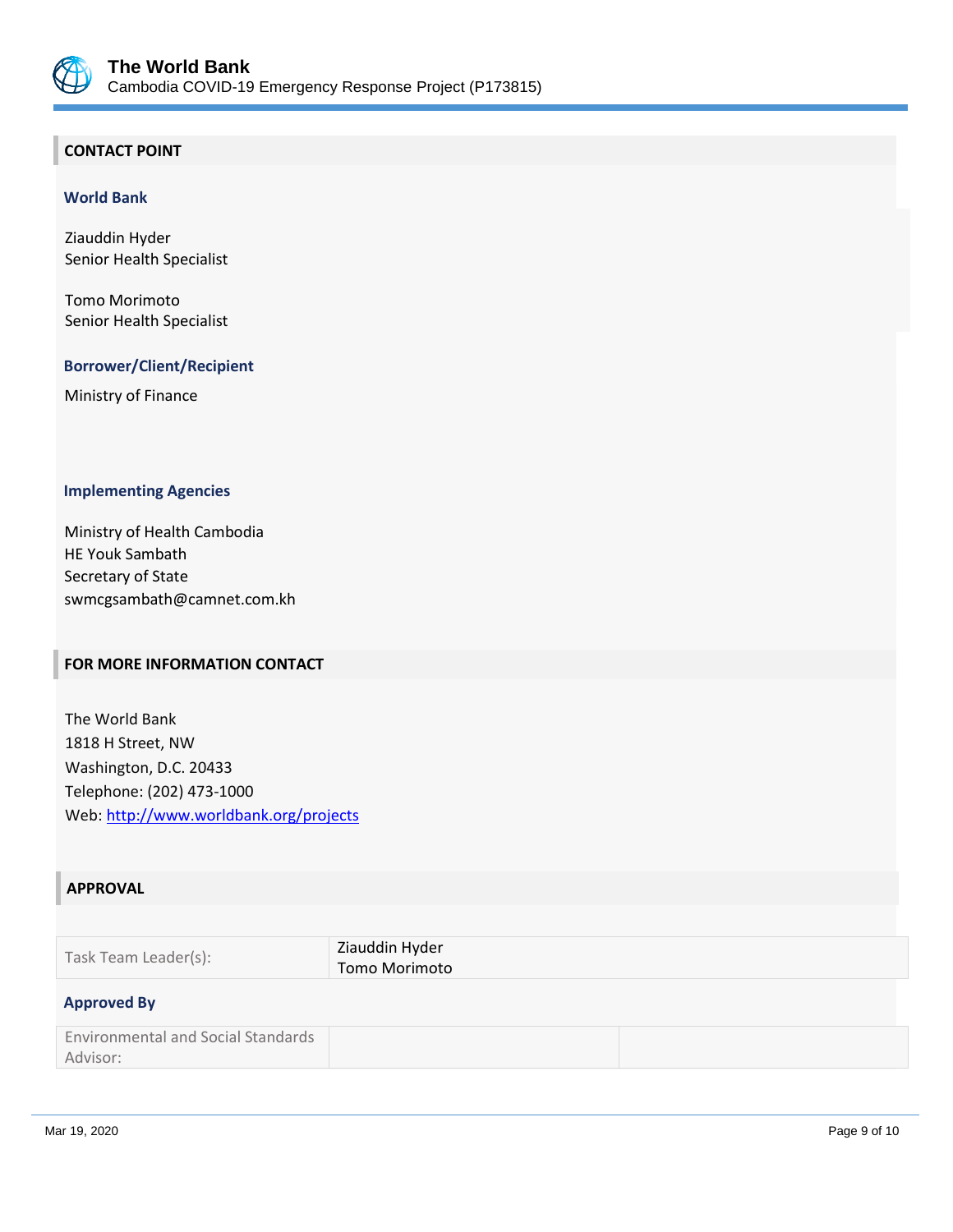

# **CONTACT POINT**

#### **World Bank**

Ziauddin Hyder Senior Health Specialist

Tomo Morimoto Senior Health Specialist

## **Borrower/Client/Recipient**

Ministry of Finance

#### **Implementing Agencies**

Ministry of Health Cambodia HE Youk Sambath Secretary of State swmcgsambath@camnet.com.kh

# **FOR MORE INFORMATION CONTACT**

The World Bank 1818 H Street, NW Washington, D.C. 20433 Telephone: (202) 473-1000 Web:<http://www.worldbank.org/projects>

#### **APPROVAL**

| Task Team Leader(s): | Ziauddin Hyder<br>Tomo Morimoto |
|----------------------|---------------------------------|
| <b>Approved By</b>   |                                 |

| <b>Environmental and Social Standards</b> |  |
|-------------------------------------------|--|
| Advisor:                                  |  |